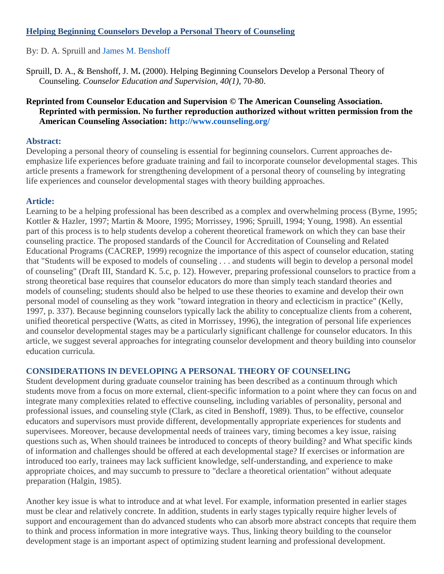## **Helping Beginning Counselors Develop a Personal Theory of Counseling**

By: D. A. Spruill and [James M. Benshoff](http://libres.uncg.edu/ir/uncg/clist.aspx?id=939)

Spruill, D. A., & Benshoff, J. M**.** (2000). Helping Beginning Counselors Develop a Personal Theory of Counseling. *Counselor Education and Supervision, 40(1)*, 70-80.

#### **Reprinted from Counselor Education and Supervision © The American Counseling Association. Reprinted with permission. No further reproduction authorized without written permission from the American Counseling Association:<http://www.counseling.org/>**

#### **Abstract:**

Developing a personal theory of counseling is essential for beginning counselors. Current approaches deemphasize life experiences before graduate training and fail to incorporate counselor developmental stages. This article presents a framework for strengthening development of a personal theory of counseling by integrating life experiences and counselor developmental stages with theory building approaches.

#### **Article:**

Learning to be a helping professional has been described as a complex and overwhelming process (Byrne, 1995; Kottler & Hazler, 1997; Martin & Moore, 1995; Morrissey, 1996; Spruill, 1994; Young, 1998). An essential part of this process is to help students develop a coherent theoretical framework on which they can base their counseling practice. The proposed standards of the Council for Accreditation of Counseling and Related Educational Programs (CACREP, 1999) recognize the importance of this aspect of counselor education, stating that "Students will be exposed to models of counseling . . . and students will begin to develop a personal model of counseling" (Draft III, Standard K. 5.c, p. 12). However, preparing professional counselors to practice from a strong theoretical base requires that counselor educators do more than simply teach standard theories and models of counseling; students should also be helped to use these theories to examine and develop their own personal model of counseling as they work "toward integration in theory and eclecticism in practice" (Kelly, 1997, p. 337). Because beginning counselors typically lack the ability to conceptualize clients from a coherent, unified theoretical perspective (Watts, as cited in Morrissey, 1996), the integration of personal life experiences and counselor developmental stages may be a particularly significant challenge for counselor educators. In this article, we suggest several approaches for integrating counselor development and theory building into counselor education curricula.

# **[CONSIDERATIONS IN DEVELOPING A PERSONAL THEORY OF COUNSELING](http://ehis.ebscohost.com/ehost/detail?vid=3&hid=5&sid=6dcb7c15-8e2f-420c-969f-56d5fe360665%40sessionmgr10&bdata=JnNpdGU9ZWhvc3QtbGl2ZQ%3d%3d#toc)**

Student development during graduate counselor training has been described as a continuum through which students move from a focus on more external, client-specific information to a point where they can focus on and integrate many complexities related to effective counseling, including variables of personality, personal and professional issues, and counseling style (Clark, as cited in Benshoff, 1989). Thus, to be effective, counselor educators and supervisors must provide different, developmentally appropriate experiences for students and supervisees. Moreover, because developmental needs of trainees vary, timing becomes a key issue, raising questions such as, When should trainees be introduced to concepts of theory building? and What specific kinds of information and challenges should be offered at each developmental stage? If exercises or information are introduced too early, trainees may lack sufficient knowledge, self-understanding, and experience to make appropriate choices, and may succumb to pressure to "declare a theoretical orientation" without adequate preparation (Halgin, 1985).

Another key issue is what to introduce and at what level. For example, information presented in earlier stages must be clear and relatively concrete. In addition, students in early stages typically require higher levels of support and encouragement than do advanced students who can absorb more abstract concepts that require them to think and process information in more integrative ways. Thus, linking theory building to the counselor development stage is an important aspect of optimizing student learning and professional development.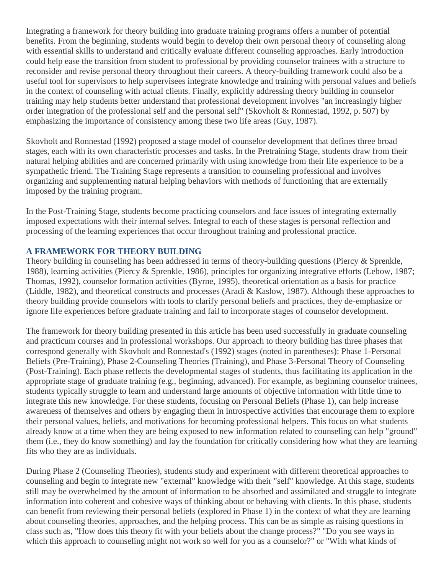Integrating a framework for theory building into graduate training programs offers a number of potential benefits. From the beginning, students would begin to develop their own personal theory of counseling along with essential skills to understand and critically evaluate different counseling approaches. Early introduction could help ease the transition from student to professional by providing counselor trainees with a structure to reconsider and revise personal theory throughout their careers. A theory-building framework could also be a useful tool for supervisors to help supervisees integrate knowledge and training with personal values and beliefs in the context of counseling with actual clients. Finally, explicitly addressing theory building in counselor training may help students better understand that professional development involves "an increasingly higher order integration of the professional self and the personal self" (Skovholt & Ronnestad, 1992, p. 507) by emphasizing the importance of consistency among these two life areas (Guy, 1987).

Skovholt and Ronnestad (1992) proposed a stage model of counselor development that defines three broad stages, each with its own characteristic processes and tasks. In the Pretraining Stage, students draw from their natural helping abilities and are concerned primarily with using knowledge from their life experience to be a sympathetic friend. The Training Stage represents a transition to counseling professional and involves organizing and supplementing natural helping behaviors with methods of functioning that are externally imposed by the training program.

In the Post-Training Stage, students become practicing counselors and face issues of integrating externally imposed expectations with their internal selves. Integral to each of these stages is personal reflection and processing of the learning experiences that occur throughout training and professional practice.

## **[A FRAMEWORK FOR THEORY BUILDING](http://ehis.ebscohost.com/ehost/detail?vid=3&hid=5&sid=6dcb7c15-8e2f-420c-969f-56d5fe360665%40sessionmgr10&bdata=JnNpdGU9ZWhvc3QtbGl2ZQ%3d%3d#toc)**

Theory building in counseling has been addressed in terms of theory-building questions (Piercy & Sprenkle, 1988), learning activities (Piercy & Sprenkle, 1986), principles for organizing integrative efforts (Lebow, 1987; Thomas, 1992), counselor formation activities (Byrne, 1995), theoretical orientation as a basis for practice (Liddle, 1982), and theoretical constructs and processes (Aradi & Kaslow, 1987). Although these approaches to theory building provide counselors with tools to clarify personal beliefs and practices, they de-emphasize or ignore life experiences before graduate training and fail to incorporate stages of counselor development.

The framework for theory building presented in this article has been used successfully in graduate counseling and practicum courses and in professional workshops. Our approach to theory building has three phases that correspond generally with Skovholt and Ronnestad's (1992) stages (noted in parentheses): Phase 1-Personal Beliefs (Pre-Training), Phase 2-Counseling Theories (Training), and Phase 3-Personal Theory of Counseling (Post-Training). Each phase reflects the developmental stages of students, thus facilitating its application in the appropriate stage of graduate training (e.g., beginning, advanced). For example, as beginning counselor trainees, students typically struggle to learn and understand large amounts of objective information with little time to integrate this new knowledge. For these students, focusing on Personal Beliefs (Phase 1), can help increase awareness of themselves and others by engaging them in introspective activities that encourage them to explore their personal values, beliefs, and motivations for becoming professional helpers. This focus on what students already know at a time when they are being exposed to new information related to counseling can help "ground" them (i.e., they do know something) and lay the foundation for critically considering how what they are learning fits who they are as individuals.

During Phase 2 (Counseling Theories), students study and experiment with different theoretical approaches to counseling and begin to integrate new "external" knowledge with their "self" knowledge. At this stage, students still may be overwhelmed by the amount of information to be absorbed and assimilated and struggle to integrate information into coherent and cohesive ways of thinking about or behaving with clients. In this phase, students can benefit from reviewing their personal beliefs (explored in Phase 1) in the context of what they are learning about counseling theories, approaches, and the helping process. This can be as simple as raising questions in class such as, "How does this theory fit with your beliefs about the change process?" "Do you see ways in which this approach to counseling might not work so well for you as a counselor?" or "With what kinds of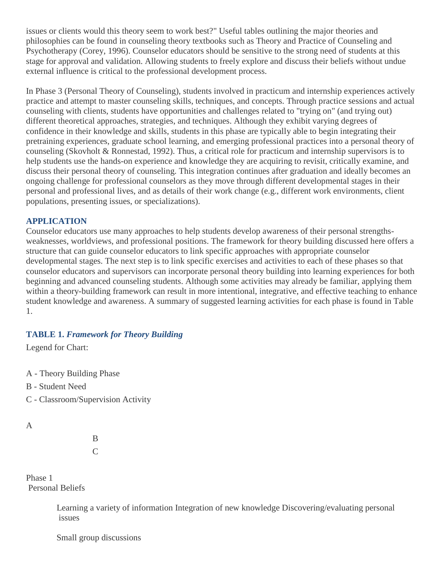issues or clients would this theory seem to work best?" Useful tables outlining the major theories and philosophies can be found in counseling theory textbooks such as Theory and Practice of Counseling and Psychotherapy (Corey, 1996). Counselor educators should be sensitive to the strong need of students at this stage for approval and validation. Allowing students to freely explore and discuss their beliefs without undue external influence is critical to the professional development process.

In Phase 3 (Personal Theory of Counseling), students involved in practicum and internship experiences actively practice and attempt to master counseling skills, techniques, and concepts. Through practice sessions and actual counseling with clients, students have opportunities and challenges related to "trying on" (and trying out) different theoretical approaches, strategies, and techniques. Although they exhibit varying degrees of confidence in their knowledge and skills, students in this phase are typically able to begin integrating their pretraining experiences, graduate school learning, and emerging professional practices into a personal theory of counseling (Skovholt & Ronnestad, 1992). Thus, a critical role for practicum and internship supervisors is to help students use the hands-on experience and knowledge they are acquiring to revisit, critically examine, and discuss their personal theory of counseling. This integration continues after graduation and ideally becomes an ongoing challenge for professional counselors as they move through different developmental stages in their personal and professional lives, and as details of their work change (e.g., different work environments, client populations, presenting issues, or specializations).

## **[APPLICATION](http://ehis.ebscohost.com/ehost/detail?vid=3&hid=5&sid=6dcb7c15-8e2f-420c-969f-56d5fe360665%40sessionmgr10&bdata=JnNpdGU9ZWhvc3QtbGl2ZQ%3d%3d#toc)**

Counselor educators use many approaches to help students develop awareness of their personal strengthsweaknesses, worldviews, and professional positions. The framework for theory building discussed here offers a structure that can guide counselor educators to link specific approaches with appropriate counselor developmental stages. The next step is to link specific exercises and activities to each of these phases so that counselor educators and supervisors can incorporate personal theory building into learning experiences for both beginning and advanced counseling students. Although some activities may already be familiar, applying them within a theory-building framework can result in more intentional, integrative, and effective teaching to enhance student knowledge and awareness. A summary of suggested learning activities for each phase is found in Table 1.

# **TABLE 1.** *[Framework for Theory Building](http://ehis.ebscohost.com/ehost/detail?vid=3&hid=5&sid=6dcb7c15-8e2f-420c-969f-56d5fe360665%40sessionmgr10&bdata=JnNpdGU9ZWhvc3QtbGl2ZQ%3d%3d#toc)*

Legend for Chart:

- A Theory Building Phase
- B Student Need
- C Classroom/Supervision Activity

B  $\overline{C}$ 

A

Phase 1 Personal Beliefs

> Learning a variety of information Integration of new knowledge Discovering/evaluating personal issues

Small group discussions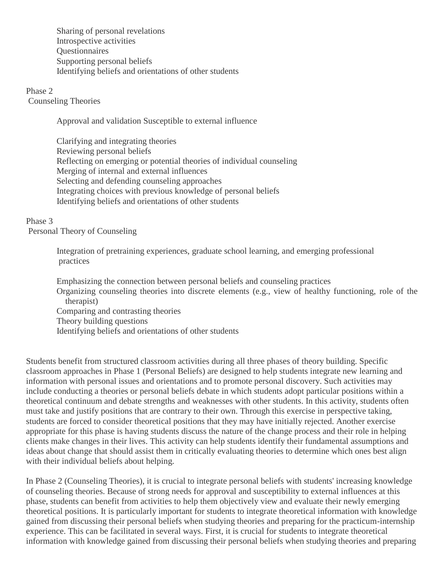Sharing of personal revelations Introspective activities Questionnaires Supporting personal beliefs Identifying beliefs and orientations of other students

# Phase 2

Counseling Theories

Approval and validation Susceptible to external influence

 Clarifying and integrating theories Reviewing personal beliefs Reflecting on emerging or potential theories of individual counseling Merging of internal and external influences Selecting and defending counseling approaches Integrating choices with previous knowledge of personal beliefs Identifying beliefs and orientations of other students

# Phase 3

Personal Theory of Counseling

 Integration of pretraining experiences, graduate school learning, and emerging professional practices

 Emphasizing the connection between personal beliefs and counseling practices Organizing counseling theories into discrete elements (e.g., view of healthy functioning, role of the

therapist)

Comparing and contrasting theories

Theory building questions

Identifying beliefs and orientations of other students

Students benefit from structured classroom activities during all three phases of theory building. Specific classroom approaches in Phase 1 (Personal Beliefs) are designed to help students integrate new learning and information with personal issues and orientations and to promote personal discovery. Such activities may include conducting a theories or personal beliefs debate in which students adopt particular positions within a theoretical continuum and debate strengths and weaknesses with other students. In this activity, students often must take and justify positions that are contrary to their own. Through this exercise in perspective taking, students are forced to consider theoretical positions that they may have initially rejected. Another exercise appropriate for this phase is having students discuss the nature of the change process and their role in helping clients make changes in their lives. This activity can help students identify their fundamental assumptions and ideas about change that should assist them in critically evaluating theories to determine which ones best align with their individual beliefs about helping.

In Phase 2 (Counseling Theories), it is crucial to integrate personal beliefs with students' increasing knowledge of counseling theories. Because of strong needs for approval and susceptibility to external influences at this phase, students can benefit from activities to help them objectively view and evaluate their newly emerging theoretical positions. It is particularly important for students to integrate theoretical information with knowledge gained from discussing their personal beliefs when studying theories and preparing for the practicum-internship experience. This can be facilitated in several ways. First, it is crucial for students to integrate theoretical information with knowledge gained from discussing their personal beliefs when studying theories and preparing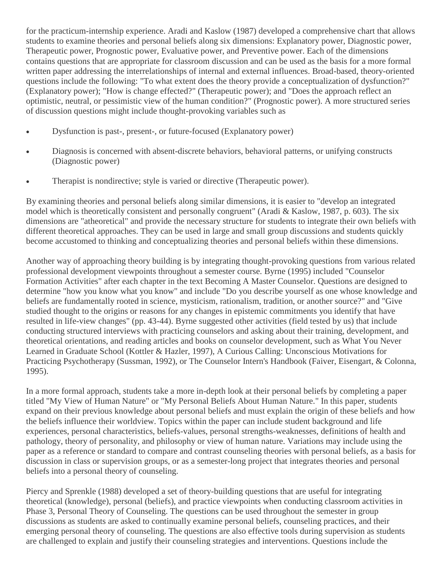for the practicum-internship experience. Aradi and Kaslow (1987) developed a comprehensive chart that allows students to examine theories and personal beliefs along six dimensions: Explanatory power, Diagnostic power, Therapeutic power, Prognostic power, Evaluative power, and Preventive power. Each of the dimensions contains questions that are appropriate for classroom discussion and can be used as the basis for a more formal written paper addressing the interrelationships of internal and external influences. Broad-based, theory-oriented questions include the following: "To what extent does the theory provide a conceptualization of dysfunction?" (Explanatory power); "How is change effected?" (Therapeutic power); and "Does the approach reflect an optimistic, neutral, or pessimistic view of the human condition?" (Prognostic power). A more structured series of discussion questions might include thought-provoking variables such as

- Dysfunction is past-, present-, or future-focused (Explanatory power)
- Diagnosis is concerned with absent-discrete behaviors, behavioral patterns, or unifying constructs (Diagnostic power)
- Therapist is nondirective; style is varied or directive (Therapeutic power).

By examining theories and personal beliefs along similar dimensions, it is easier to "develop an integrated model which is theoretically consistent and personally congruent" (Aradi & Kaslow, 1987, p. 603). The six dimensions are "atheoretical" and provide the necessary structure for students to integrate their own beliefs with different theoretical approaches. They can be used in large and small group discussions and students quickly become accustomed to thinking and conceptualizing theories and personal beliefs within these dimensions.

Another way of approaching theory building is by integrating thought-provoking questions from various related professional development viewpoints throughout a semester course. Byrne (1995) included "Counselor Formation Activities" after each chapter in the text Becoming A Master Counselor. Questions are designed to determine "how you know what you know" and include "Do you describe yourself as one whose knowledge and beliefs are fundamentally rooted in science, mysticism, rationalism, tradition, or another source?" and "Give studied thought to the origins or reasons for any changes in epistemic commitments you identify that have resulted in life-view changes" (pp. 43-44). Byrne suggested other activities (field tested by us) that include conducting structured interviews with practicing counselors and asking about their training, development, and theoretical orientations, and reading articles and books on counselor development, such as What You Never Learned in Graduate School (Kottler & Hazler, 1997), A Curious Calling: Unconscious Motivations for Practicing Psychotherapy (Sussman, 1992), or The Counselor Intern's Handbook (Faiver, Eisengart, & Colonna, 1995).

In a more formal approach, students take a more in-depth look at their personal beliefs by completing a paper titled "My View of Human Nature" or "My Personal Beliefs About Human Nature." In this paper, students expand on their previous knowledge about personal beliefs and must explain the origin of these beliefs and how the beliefs influence their worldview. Topics within the paper can include student background and life experiences, personal characteristics, beliefs-values, personal strengths-weaknesses, definitions of health and pathology, theory of personality, and philosophy or view of human nature. Variations may include using the paper as a reference or standard to compare and contrast counseling theories with personal beliefs, as a basis for discussion in class or supervision groups, or as a semester-long project that integrates theories and personal beliefs into a personal theory of counseling.

Piercy and Sprenkle (1988) developed a set of theory-building questions that are useful for integrating theoretical (knowledge), personal (beliefs), and practice viewpoints when conducting classroom activities in Phase 3, Personal Theory of Counseling. The questions can be used throughout the semester in group discussions as students are asked to continually examine personal beliefs, counseling practices, and their emerging personal theory of counseling. The questions are also effective tools during supervision as students are challenged to explain and justify their counseling strategies and interventions. Questions include the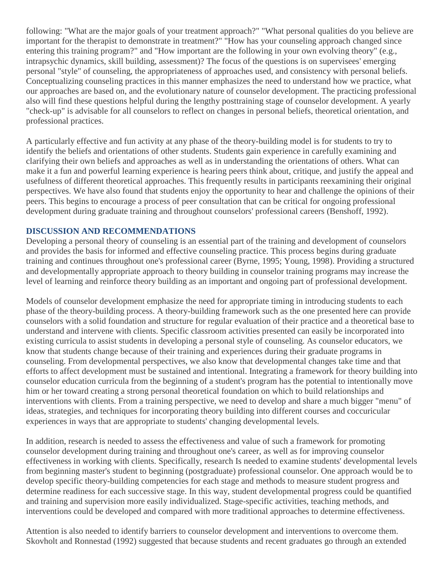following: "What are the major goals of your treatment approach?" "What personal qualities do you believe are important for the therapist to demonstrate in treatment?" "How has your counseling approach changed since entering this training program?" and "How important are the following in your own evolving theory" (e.g., intrapsychic dynamics, skill building, assessment)? The focus of the questions is on supervisees' emerging personal "style" of counseling, the appropriateness of approaches used, and consistency with personal beliefs. Conceptualizing counseling practices in this manner emphasizes the need to understand how we practice, what our approaches are based on, and the evolutionary nature of counselor development. The practicing professional also will find these questions helpful during the lengthy posttraining stage of counselor development. A yearly "check-up" is advisable for all counselors to reflect on changes in personal beliefs, theoretical orientation, and professional practices.

A particularly effective and fun activity at any phase of the theory-building model is for students to try to identify the beliefs and orientations of other students. Students gain experience in carefully examining and clarifying their own beliefs and approaches as well as in understanding the orientations of others. What can make it a fun and powerful learning experience is hearing peers think about, critique, and justify the appeal and usefulness of different theoretical approaches. This frequently results in participants reexamining their original perspectives. We have also found that students enjoy the opportunity to hear and challenge the opinions of their peers. This begins to encourage a process of peer consultation that can be critical for ongoing professional development during graduate training and throughout counselors' professional careers (Benshoff, 1992).

#### **[DISCUSSION AND RECOMMENDATIONS](http://ehis.ebscohost.com/ehost/detail?vid=3&hid=5&sid=6dcb7c15-8e2f-420c-969f-56d5fe360665%40sessionmgr10&bdata=JnNpdGU9ZWhvc3QtbGl2ZQ%3d%3d#toc)**

Developing a personal theory of counseling is an essential part of the training and development of counselors and provides the basis for informed and effective counseling practice. This process begins during graduate training and continues throughout one's professional career (Byrne, 1995; Young, 1998). Providing a structured and developmentally appropriate approach to theory building in counselor training programs may increase the level of learning and reinforce theory building as an important and ongoing part of professional development.

Models of counselor development emphasize the need for appropriate timing in introducing students to each phase of the theory-building process. A theory-building framework such as the one presented here can provide counselors with a solid foundation and structure for regular evaluation of their practice and a theoretical base to understand and intervene with clients. Specific classroom activities presented can easily be incorporated into existing curricula to assist students in developing a personal style of counseling. As counselor educators, we know that students change because of their training and experiences during their graduate programs in counseling. From developmental perspectives, we also know that developmental changes take time and that efforts to affect development must be sustained and intentional. Integrating a framework for theory building into counselor education curricula from the beginning of a student's program has the potential to intentionally move him or her toward creating a strong personal theoretical foundation on which to build relationships and interventions with clients. From a training perspective, we need to develop and share a much bigger "menu" of ideas, strategies, and techniques for incorporating theory building into different courses and coccuricular experiences in ways that are appropriate to students' changing developmental levels.

In addition, research is needed to assess the effectiveness and value of such a framework for promoting counselor development during training and throughout one's career, as well as for improving counselor effectiveness in working with clients. Specifically, research Is needed to examine students' developmental levels from beginning master's student to beginning (postgraduate) professional counselor. One approach would be to develop specific theory-building competencies for each stage and methods to measure student progress and determine readiness for each successive stage. In this way, student developmental progress could be quantified and training and supervision more easily individualized. Stage-specific activities, teaching methods, and interventions could be developed and compared with more traditional approaches to determine effectiveness.

Attention is also needed to identify barriers to counselor development and interventions to overcome them. Skovholt and Ronnestad (1992) suggested that because students and recent graduates go through an extended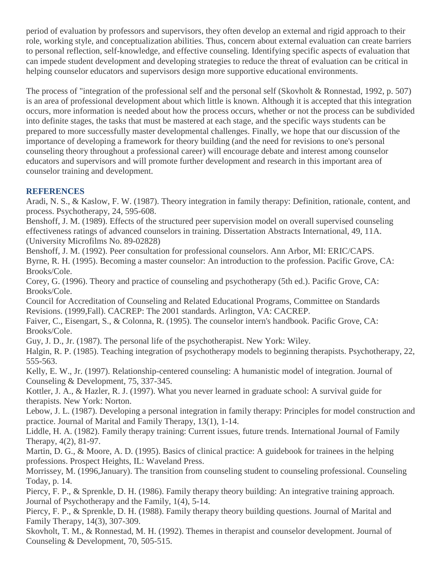period of evaluation by professors and supervisors, they often develop an external and rigid approach to their role, working style, and conceptualization abilities. Thus, concern about external evaluation can create barriers to personal reflection, self-knowledge, and effective counseling. Identifying specific aspects of evaluation that can impede student development and developing strategies to reduce the threat of evaluation can be critical in helping counselor educators and supervisors design more supportive educational environments.

The process of "integration of the professional self and the personal self (Skovholt & Ronnestad, 1992, p. 507) is an area of professional development about which little is known. Although it is accepted that this integration occurs, more information is needed about how the process occurs, whether or not the process can be subdivided into definite stages, the tasks that must be mastered at each stage, and the specific ways students can be prepared to more successfully master developmental challenges. Finally, we hope that our discussion of the importance of developing a framework for theory building (and the need for revisions to one's personal counseling theory throughout a professional career) will encourage debate and interest among counselor educators and supervisors and will promote further development and research in this important area of counselor training and development.

# **[REFERENCES](http://ehis.ebscohost.com/ehost/detail?vid=3&hid=5&sid=6dcb7c15-8e2f-420c-969f-56d5fe360665%40sessionmgr10&bdata=JnNpdGU9ZWhvc3QtbGl2ZQ%3d%3d#toc)**

Aradi, N. S., & Kaslow, F. W. (1987). Theory integration in family therapy: Definition, rationale, content, and process. Psychotherapy, 24, 595-608.

Benshoff, J. M. (1989). Effects of the structured peer supervision model on overall supervised counseling effectiveness ratings of advanced counselors in training. Dissertation Abstracts International, 49, 11A. (University Microfilms No. 89-02828)

Benshoff, J. M. (1992). Peer consultation for professional counselors. Ann Arbor, MI: ERIC/CAPS. Byrne, R. H. (1995). Becoming a master counselor: An introduction to the profession. Pacific Grove, CA: Brooks/Cole.

Corey, G. (1996). Theory and practice of counseling and psychotherapy (5th ed.). Pacific Grove, CA: Brooks/Cole.

Council for Accreditation of Counseling and Related Educational Programs, Committee on Standards Revisions. (1999,Fall). CACREP: The 2001 standards. Arlington, VA: CACREP.

Faiver, C., Eisengart, S., & Colonna, R. (1995). The counselor intern's handbook. Pacific Grove, CA: Brooks/Cole.

Guy, J. D., Jr. (1987). The personal life of the psychotherapist. New York: Wiley.

Halgin, R. P. (1985). Teaching integration of psychotherapy models to beginning therapists. Psychotherapy, 22, 555-563.

Kelly, E. W., Jr. (1997). Relationship-centered counseling: A humanistic model of integration. Journal of Counseling & Development, 75, 337-345.

Kottler, J. A., & Hazler, R. J. (1997). What you never learned in graduate school: A survival guide for therapists. New York: Norton.

Lebow, J. L. (1987). Developing a personal integration in family therapy: Principles for model construction and practice. Journal of Marital and Family Therapy, 13(1), 1-14.

Liddle, H. A. (1982). Family therapy training: Current issues, future trends. International Journal of Family Therapy, 4(2), 81-97.

Martin, D. G., & Moore, A. D. (1995). Basics of clinical practice: A guidebook for trainees in the helping professions. Prospect Heights, IL: Waveland Press.

Morrissey, M. (1996,January). The transition from counseling student to counseling professional. Counseling Today, p. 14.

Piercy, F. P., & Sprenkle, D. H. (1986). Family therapy theory building: An integrative training approach. Journal of Psychotherapy and the Family, 1(4), 5-14.

Piercy, F. P., & Sprenkle, D. H. (1988). Family therapy theory building questions. Journal of Marital and Family Therapy, 14(3), 307-309.

Skovholt, T. M., & Ronnestad, M. H. (1992). Themes in therapist and counselor development. Journal of Counseling & Development, 70, 505-515.